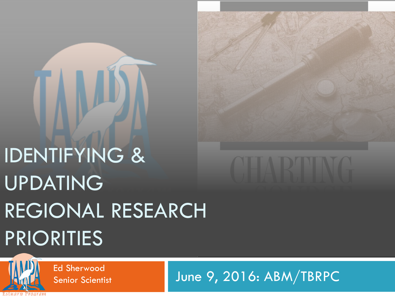# IDENTIFYING & UPDATING REGIONAL RESEARCH PRIORITIES



Senior Scientist

Ed Sherwood<br>Senior Scientist The P, 2016: ABM/TBRPC

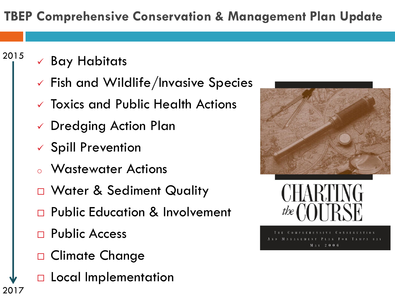### **TBEP Comprehensive Conservation & Management Plan Update**

 $\checkmark$  Bay Habitats

2015

- $\checkmark$  Fish and Wildlife/Invasive Species
- Toxics and Public Health Actions
- Dredging Action Plan
- $\checkmark$  Spill Prevention
- **Wastewater Actions**
- D Water & Sediment Quality
- **Public Education & Involvement**
- Public Access
- □ Climate Change
- D Local Implementation 2017





 $M + Y = 2006$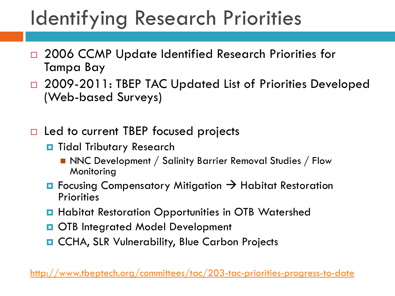## Identifying Research Priorities

- □ 2006 CCMP Update Identified Research Priorities for Tampa Bay
- □ 2009-2011: TBEP TAC Updated List of Priorities Developed (Web-based Surveys)
- $\Box$  Led to current TBEP focused projects
	- **D** Tidal Tributary Research
		- NNC Development / Salinity Barrier Removal Studies / Flow Monitoring
	- $\Box$  Focusing Compensatory Mitigation  $\rightarrow$  Habitat Restoration **Priorities**
	- **Habitat Restoration Opportunities in OTB Watershed**
	- **OTB Integrated Model Development**
	- **D** CCHA, SLR Vulnerability, Blue Carbon Projects

<http://www.tbeptech.org/committees/tac/203-tac-priorities-progress-to-date>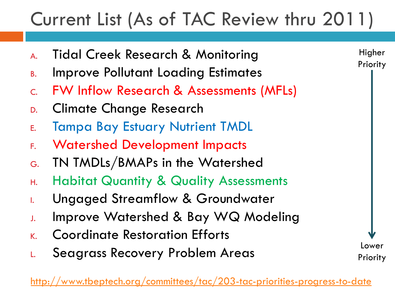### Current List (As of TAC Review thru 2011)

- A. Tidal Creek Research & Monitoring
- B. Improve Pollutant Loading Estimates
- C. FW Inflow Research & Assessments (MFLs)
- D. Climate Change Research
- E. Tampa Bay Estuary Nutrient TMDL
- F. Watershed Development Impacts
- G. TN TMDLs/BMAPs in the Watershed
- H. Habitat Quantity & Quality Assessments
- I. Ungaged Streamflow & Groundwater
- J. Improve Watershed & Bay WQ Modeling
- K. Coordinate Restoration Efforts
- L. Seagrass Recovery Problem Areas

Higher Priority

Lower

Priority

 $\hspace{0.1cm}\rule{0.7cm}{.1cm}\hspace{0.1cm}$ www.tbeptech.org/committees/tac/203-tac-priorities-progress-to-date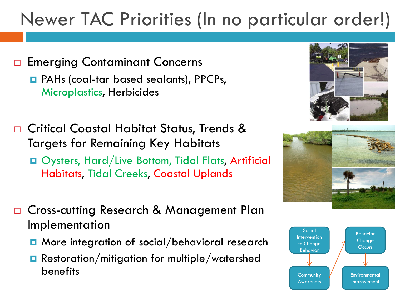### Newer TAC Priorities (In no particular order!)

- □ Emerging Contaminant Concerns PAHs (coal-tar based sealants), PPCPs, Microplastics, Herbicides
- □ Critical Coastal Habitat Status, Trends & Targets for Remaining Key Habitats Oysters, Hard/Live Bottom, Tidal Flats, Artificial Habitats, Tidal Creeks, Coastal Uplands
- □ Cross-cutting Research & Management Plan Implementation
	- More integration of social/behavioral research
	- **Restoration/mitigation for multiple/watershed** benefits





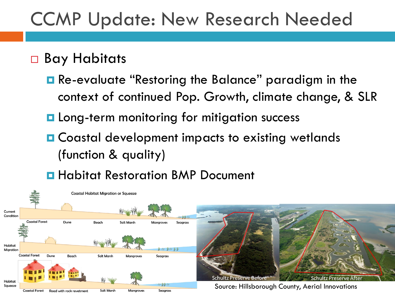### CCMP Update: New Research Needed

### □ Bay Habitats

- Re-evaluate "Restoring the Balance" paradigm in the context of continued Pop. Growth, climate change, & SLR
- **La** Long-term monitoring for mitigation success
- **□ Coastal development impacts to existing wetlands** (function & quality)

**Habitat Restoration BMP Document** 

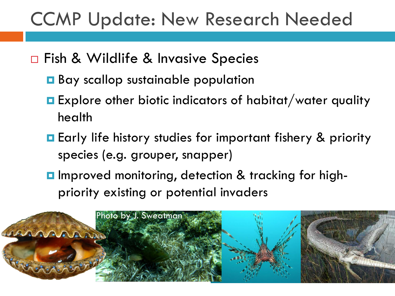### CCMP Update: New Research Needed

- □ Fish & Wildlife & Invasive Species
	- **Bay scallop sustainable population**
	- **Explore other biotic indicators of habitat/water quality** health
	- **Early life history studies for important fishery & priority** species (e.g. grouper, snapper)
	- **I** Improved monitoring, detection & tracking for highpriority existing or potential invaders

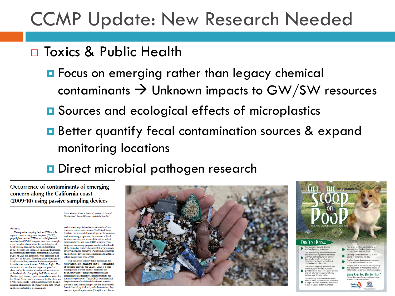### CCMP Update: New Research Needed

#### □ Toxics & Public Health

- **E** Focus on emerging rather than legacy chemical contaminants  $\rightarrow$  Unknown impacts to GW/SW resources
- **□** Sources and ecological effects of microplastics
- **B** Better quantify fecal contamination sources & expand monitoring locations
- **D** Direct microbial pathogen research

Occurrence of contaminants of emerging concern along the California coast (2009-10) using passive sampling devices

> .<br>David Alvarez<sup>i</sup>, Keith A. Maruya<sup>2</sup>, Nathan G. Dodder<sup>2</sup>, **Wenjian Lao'**, Edward Furlong' and Kelly Smalling'

#### **ARSTRACT**

Three passive sampling devices (PSDs), polar organic chemical integrative samplers (POCIS). polyethylene devices (PEDs), and solid-phase microextraction (SPME) samplers were used to sample a diverse set of chemicals in the coastal waters of San Francisco Bay and the Southern California Bight. Seventy-one chemicals (including fragrances, phosphate flame retardants, pharmaceuticals, PAHs, PCBs, PBDEs, and pesticides) were measured in at least 50% of the sites. The chemical profile from the San Francisco Bay sites was distinct from profiles from the sites in the Southern California Bight. This distinction was not due to a single compound or class, but by the relative abundances/concentrations of the chemicals. Comparing the PSDs to mussel (Mytilus spp.) tissues, a positive correlation exists for the 25 and 26 chemicals in common for the PEDs and current-use pesticides. These CECs sometimes lack SPME, respectively. Diphenhydramine was the only common chemical out of 40 analyzed in both POCIS but due to their continual input into the environment and tissues detected at a common site.

to characterize spatial and temporal trends of contaminants in the coastal areas of the United States. Bivalves can be a useful sentinel species for contaminant monitoring programs as they remain in fixed locations and are good accumulators of persistent, bioaccumulative, and toxic (PBT) organics. This long-term monitoring program has shown that levels of the banned or restricted chlorinated organics such as polychlorinated biphenyls (PCBs) and organochlorine pesticides have decreased compared to historical values (Kimbrough et al. 2008).

With the levels of many PBTs decreasing, the research focus is beginning to shift to "contaminants of emerging concern" (or CECs). CECs is a term encompassing a broad range of chemicals not traditionally part of monitoring studies such as pharmaceuticals, fragrances, flame retardants, and the persistence of traditional chlorinated organics. from industrial, agricultural, and urban sources, they maintain a pseudo-persistence (Daughton and Ternes



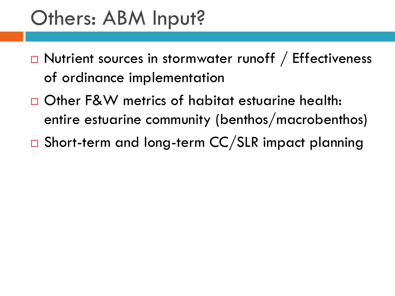### Others: ABM Input?

- □ Nutrient sources in stormwater runoff / Effectiveness of ordinance implementation
- Other F&W metrics of habitat estuarine health: entire estuarine community (benthos/macrobenthos)
- □ Short-term and long-term CC/SLR impact planning